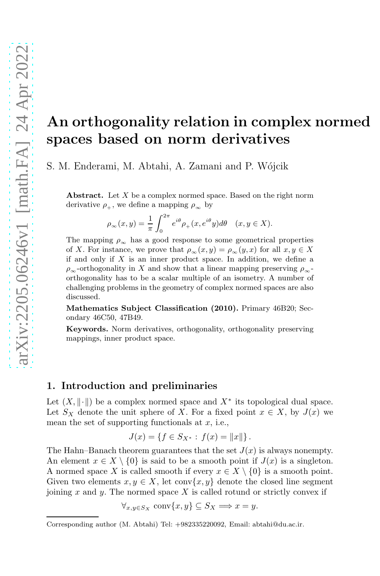# An orthogonality relation in complex normed spaces based on norm derivatives

S. M. Enderami, M. Abtahi, A. Zamani and P. Wójcik

**Abstract.** Let  $X$  be a complex normed space. Based on the right norm derivative  $\rho_+$ , we define a mapping  $\rho_\infty$  by

$$
\rho_\infty(x,y)=\frac{1}{\pi}\int_0^{2\pi}e^{i\theta}\rho_+(x,e^{i\theta}y)d\theta\quad(x,y\in X).
$$

The mapping  $\rho_{\infty}$  has a good response to some geometrical properties of X. For instance, we prove that  $\rho_{\infty}(x, y) = \rho_{\infty}(y, x)$  for all  $x, y \in X$ if and only if  $X$  is an inner product space. In addition, we define a  $\rho_{\infty}$ -orthogonality in X and show that a linear mapping preserving  $\rho_{\infty}$ orthogonality has to be a scalar multiple of an isometry. A number of challenging problems in the geometry of complex normed spaces are also discussed.

Mathematics Subject Classification (2010). Primary 46B20; Secondary 46C50, 47B49.

Keywords. Norm derivatives, orthogonality, orthogonality preserving mappings, inner product space.

#### 1. Introduction and preliminaries

Let  $(X, \|\cdot\|)$  be a complex normed space and  $X^*$  its topological dual space. Let  $S_X$  denote the unit sphere of X. For a fixed point  $x \in X$ , by  $J(x)$  we mean the set of supporting functionals at  $x$ , i.e.,

$$
J(x) = \{ f \in S_{X^*} : f(x) = ||x|| \}.
$$

The Hahn–Banach theorem guarantees that the set  $J(x)$  is always nonempty. An element  $x \in X \setminus \{0\}$  is said to be a smooth point if  $J(x)$  is a singleton. A normed space X is called smooth if every  $x \in X \setminus \{0\}$  is a smooth point. Given two elements  $x, y \in X$ , let conv $\{x, y\}$  denote the closed line segment joining x and y. The normed space  $X$  is called rotund or strictly convex if

$$
\forall_{x,y\in S_X} \operatorname{conv}\{x,y\} \subseteq S_X \Longrightarrow x = y.
$$

Corresponding author (M. Abtahi) Tel: +982335220092, Email: abtahi@du.ac.ir.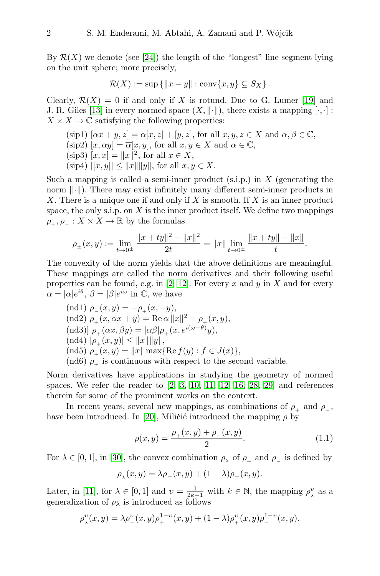By  $\mathcal{R}(X)$  we denote (see [\[24\]](#page-17-0)) the length of the "longest" line segment lying on the unit sphere; more precisely,

$$
\mathcal{R}(X) := \sup \{ ||x - y|| : \text{conv}\{x, y\} \subseteq S_X \}.
$$

Clearly,  $\mathcal{R}(X) = 0$  if and only if X is rotund. Due to G. Lumer [\[19\]](#page-17-1) and J. R. Giles [\[13\]](#page-17-2) in every normed space  $(X, \|\cdot\|)$ , there exists a mapping  $[\cdot, \cdot]$ :  $X \times X \to \mathbb{C}$  satisfying the following properties:

(sip1)  $[\alpha x + y, z] = \alpha [x, z] + [y, z]$ , for all  $x, y, z \in X$  and  $\alpha, \beta \in \mathbb{C}$ , (sip2)  $[x, \alpha y] = \overline{\alpha}[x, y]$ , for all  $x, y \in X$  and  $\alpha \in \mathbb{C}$ ,  $(\text{sip3}) [x, x] = ||x||^2, \text{ for all } x \in X,$  $(\text{sip4})$   $|[x, y]| \leq ||x|| ||y||$ , for all  $x, y \in X$ .

Such a mapping is called a semi-inner product (s.i.p.) in X (generating the norm  $\|\cdot\|$ ). There may exist infinitely many different semi-inner products in X. There is a unique one if and only if X is smooth. If X is an inner product space, the only s.i.p. on  $X$  is the inner product itself. We define two mappings  $\rho_+, \rho_- : X \times X \to \mathbb{R}$  by the formulas

$$
\rho_{\pm}(x,y) := \lim_{t \to 0^{\pm}} \frac{\|x + ty\|^2 - \|x\|^2}{2t} = \|x\| \lim_{t \to 0^{\pm}} \frac{\|x + ty\| - \|x\|}{t}.
$$

The convexity of the norm yields that the above definitions are meaningful. These mappings are called the norm derivatives and their following useful properties can be found, e.g. in [\[2,](#page-16-0) [12\]](#page-17-3). For every x and y in X and for every  $\alpha = |\alpha|e^{i\theta}, \beta = |\beta|e^{i\omega}$  in C, we have

$$
\begin{array}{l} \left(\text{nd1}\right)\,\rho_-(x,y)=-\rho_+(x,-y),\\ \left(\text{nd2}\right)\,\rho_+(x,\alpha x+y)=\text{Re}\,\alpha\,\|x\|^2+\rho_+(x,y),\\ \left(\text{nd3}\right)\,\rho_+(\alpha x,\beta y)=|\alpha\beta|\rho_+(x,e^{i(\omega-\theta)}y),\\ \left(\text{nd4}\right)\,|\rho_+(x,y)|\leq \|x\|\|y\|,\\ \left(\text{nd5}\right)\,\rho_+(x,y)=\|x\|\max\{\text{Re}\,f(y):f\in J(x)\},\\ \left(\text{nd6}\,\rho_+\right)\,\text{is continuous with respect to the second variable.} \end{array}
$$

Norm derivatives have applications in studying the geometry of normed spaces. We refer the reader to  $[2, 3, 10, 11, 12, 16, 28, 29]$  $[2, 3, 10, 11, 12, 16, 28, 29]$  $[2, 3, 10, 11, 12, 16, 28, 29]$  $[2, 3, 10, 11, 12, 16, 28, 29]$  $[2, 3, 10, 11, 12, 16, 28, 29]$  $[2, 3, 10, 11, 12, 16, 28, 29]$  $[2, 3, 10, 11, 12, 16, 28, 29]$  $[2, 3, 10, 11, 12, 16, 28, 29]$  and references therein for some of the prominent works on the context.

In recent years, several new mappings, as combinations of  $\rho_+$  and  $\rho_-$ , have been introduced. In [\[20\]](#page-17-7), Miličić introduced the mapping  $\rho$  by

<span id="page-1-0"></span>
$$
\rho(x,y) = \frac{\rho_+(x,y) + \rho_-(x,y)}{2}.
$$
\n(1.1)

For  $\lambda \in [0, 1]$ , in [\[30\]](#page-18-2), the convex combination  $\rho_{\lambda}$  of  $\rho_{+}$  and  $\rho_{-}$  is defined by

$$
\rho_{\lambda}(x,y) = \lambda \rho_{-}(x,y) + (1-\lambda)\rho_{+}(x,y).
$$

Later, in [\[11\]](#page-17-5), for  $\lambda \in [0,1]$  and  $v = \frac{1}{2k-1}$  with  $k \in \mathbb{N}$ , the mapping  $\rho_{\lambda}^{v}$  as a generalization of  $\rho_{\lambda}$  is introduced as follows

$$
\rho_\lambda^v(x,y) = \lambda \rho_-^v(x,y)\rho_+^{1-v}(x,y) + (1-\lambda)\rho_+^v(x,y)\rho_-^{1-v}(x,y).
$$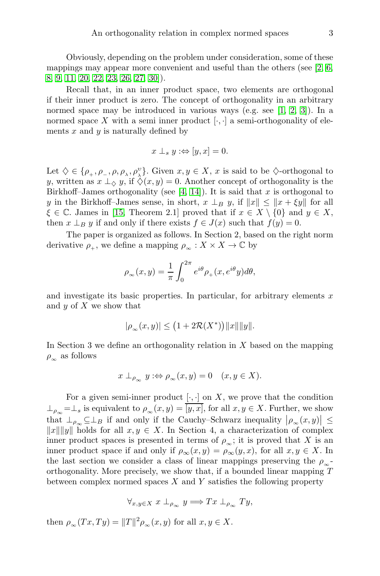Obviously, depending on the problem under consideration, some of these mappings may appear more convenient and useful than the others (see  $[2, 6, ]$  $[2, 6, ]$  $[2, 6, ]$ ) [8,](#page-17-9) [9,](#page-17-10) [11,](#page-17-5) [20,](#page-17-7) [22,](#page-17-11) 23, [26,](#page-18-3) [27,](#page-18-4) [30\]](#page-18-2)).

Recall that, in an inner product space, two elements are orthogonal if their inner product is zero. The concept of orthogonality in an arbitrary normed space may be introduced in various ways (e.g. see [\[1,](#page-16-2) [2,](#page-16-0) [3\]](#page-16-1)). In a normed space X with a semi inner product  $[\cdot, \cdot]$  a semi-orthogonality of elements  $x$  and  $y$  is naturally defined by

$$
x \perp_s y : \Leftrightarrow [y, x] = 0.
$$

Let  $\diamondsuit \in \{\rho_+, \rho_-, \rho, \rho_\lambda, \rho_\lambda^v\}$ . Given  $x, y \in X$ , x is said to be  $\diamondsuit$ -orthogonal to y, written as  $x \perp_{\diamond} y$ , if  $\diamondsuit(x, y) = 0$ . Another concept of orthogonality is the Birkhoff–James orthogonality (see  $[4, 14]$  $[4, 14]$ ). It is said that x is orthogonal to y in the Birkhoff–James sense, in short,  $x \perp_B y$ , if  $||x|| \le ||x + \xi y||$  for all  $\xi \in \mathbb{C}$ . James in [\[15,](#page-17-13) Theorem 2.1] proved that if  $x \in X \setminus \{0\}$  and  $y \in X$ , then  $x \perp_B y$  if and only if there exists  $f \in J(x)$  such that  $f(y) = 0$ .

The paper is organized as follows. In Section 2, based on the right norm derivative  $\rho_+$ , we define a mapping  $\rho_{\infty}: X \times X \to \mathbb{C}$  by

$$
\rho_{\infty}(x,y) = \frac{1}{\pi} \int_0^{2\pi} e^{i\theta} \rho_+(x, e^{i\theta} y) d\theta,
$$

and investigate its basic properties. In particular, for arbitrary elements  $x$ and  $y$  of  $X$  we show that

$$
|\rho_{\infty}(x,y)| \le (1 + 2\mathcal{R}(X^*)) ||x|| ||y||.
$$

In Section 3 we define an orthogonality relation in  $X$  based on the mapping  $\rho_{\infty}$  as follows

$$
x \perp_{\rho_{\infty}} y : \Leftrightarrow \rho_{\infty}(x, y) = 0 \quad (x, y \in X).
$$

For a given semi-inner product  $[\cdot, \cdot]$  on X, we prove that the condition  $\perp_{\rho_{\infty}} = \perp_s$  is equivalent to  $\rho_{\infty}(x, y) = \overline{[y, x]}$ , for all  $x, y \in X$ . Further, we show that  $\perp_{\rho_{\infty}} \subseteq \perp_B$  if and only if the Cauchy–Schwarz inequality  $|\rho_{\infty}(x,y)| \le$  $||x|| ||y||$  holds for all  $x, y \in X$ . In Section 4, a characterization of complex inner product spaces is presented in terms of  $\rho_{\infty}$ ; it is proved that X is an inner product space if and only if  $\rho_{\infty}(x, y) = \rho_{\infty}(y, x)$ , for all  $x, y \in X$ . In the last section we consider a class of linear mappings preserving the  $\rho_{\infty}$ orthogonality. More precisely, we show that, if a bounded linear mapping T between complex normed spaces  $X$  and  $Y$  satisfies the following property

$$
\forall_{x,y\in X}\ x\perp_{\rho_{\infty}} y \Longrightarrow Tx\perp_{\rho_{\infty}} Ty,
$$

then  $\rho_{\infty}(Tx, Ty) = ||T||^2 \rho_{\infty}(x, y)$  for all  $x, y \in X$ .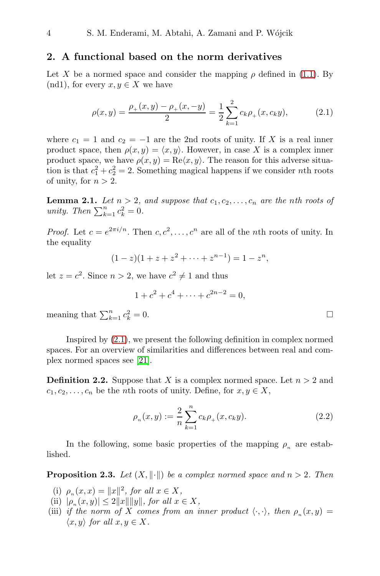## 2. A functional based on the norm derivatives

Let X be a normed space and consider the mapping  $\rho$  defined in [\(1.1\)](#page-1-0). By (nd1), for every  $x, y \in X$  we have

$$
\rho(x,y) = \frac{\rho_+(x,y) - \rho_+(x,-y)}{2} = \frac{1}{2} \sum_{k=1}^2 c_k \rho_+(x,c_k y), \tag{2.1}
$$

where  $c_1 = 1$  and  $c_2 = -1$  are the 2nd roots of unity. If X is a real inner product space, then  $\rho(x, y) = \langle x, y \rangle$ . However, in case X is a complex inner product space, we have  $\rho(x, y) = \text{Re}\langle x, y \rangle$ . The reason for this adverse situation is that  $c_1^2 + c_2^2 = 2$ . Something magical happens if we consider *n*th roots of unity, for  $n > 2$ .

<span id="page-3-1"></span>**Lemma 2.1.** Let  $n > 2$ , and suppose that  $c_1, c_2, \ldots, c_n$  are the *n*th roots of *unity. Then*  $\sum_{k=1}^{n} c_k^2 = 0$ *.* 

*Proof.* Let  $c = e^{2\pi i/n}$ . Then  $c, c^2, \ldots, c^n$  are all of the *n*th roots of unity. In the equality

$$
(1-z)(1+z+z^2+\cdots+z^{n-1})=1-z^n,
$$

let  $z = c^2$ . Since  $n > 2$ , we have  $c^2 \neq 1$  and thus

$$
1 + c^2 + c^4 + \dots + c^{2n-2} = 0,
$$

meaning that  $\sum_{k=1}^{n} c_k^2$  $k = 0.$ 

Inspired by [\(2.1\)](#page-3-0), we present the following definition in complex normed spaces. For an overview of similarities and differences between real and complex normed spaces see [\[21\]](#page-17-14).

**Definition 2.2.** Suppose that X is a complex normed space. Let  $n > 2$  and  $c_1, c_2, \ldots, c_n$  be the *n*th roots of unity. Define, for  $x, y \in X$ ,

<span id="page-3-2"></span>
$$
\rho_n(x, y) := \frac{2}{n} \sum_{k=1}^n c_k \rho_+(x, c_k y). \tag{2.2}
$$

In the following, some basic properties of the mapping  $\rho_n$  are established.

<span id="page-3-3"></span>**Proposition 2.3.** *Let*  $(X, \|\cdot\|)$  *be a complex normed space and*  $n > 2$ *. Then* 

- (i)  $\rho_n(x, x) = ||x||^2$ , for all  $x \in X$ ,
- $(\text{iii}) \ |\rho_n(x, y)| \leq 2||x|| ||y||, \text{ for all } x \in X,$
- (iii) *if the norm of* X *comes from an inner product*  $\langle \cdot, \cdot \rangle$ *, then*  $\rho_n(x, y)$  =  $\langle x, y \rangle$  *for all*  $x, y \in X$ .

<span id="page-3-0"></span>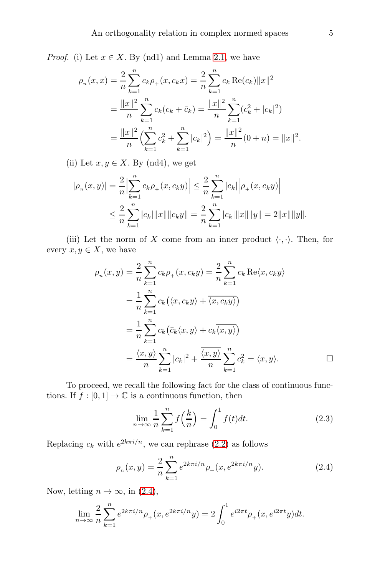*Proof.* (i) Let  $x \in X$ . By (nd1) and Lemma [2.1,](#page-3-1) we have

$$
\rho_n(x, x) = \frac{2}{n} \sum_{k=1}^n c_k \rho_+(x, c_k x) = \frac{2}{n} \sum_{k=1}^n c_k \operatorname{Re}(c_k) ||x||^2
$$
  
= 
$$
\frac{||x||^2}{n} \sum_{k=1}^n c_k (c_k + \bar{c}_k) = \frac{||x||^2}{n} \sum_{k=1}^n (c_k^2 + |c_k|^2)
$$
  
= 
$$
\frac{||x||^2}{n} \Big( \sum_{k=1}^n c_k^2 + \sum_{k=1}^n |c_k|^2 \Big) = \frac{||x||^2}{n} (0 + n) = ||x||^2.
$$

(ii) Let  $x, y \in X$ . By (nd4), we get

$$
|\rho_n(x,y)| = \frac{2}{n} \Big| \sum_{k=1}^n c_k \rho_+(x,c_k y) \Big| \leq \frac{2}{n} \sum_{k=1}^n |c_k| \Big| \rho_+(x,c_k y) \Big|
$$
  

$$
\leq \frac{2}{n} \sum_{k=1}^n |c_k| \|x\| \|c_k y\| = \frac{2}{n} \sum_{k=1}^n |c_k| \|x\| \|y\| = 2 \|x\| \|y\|.
$$

(iii) Let the norm of X come from an inner product  $\langle \cdot, \cdot \rangle$ . Then, for every  $x, y \in X$ , we have

$$
\rho_n(x, y) = \frac{2}{n} \sum_{k=1}^n c_k \rho_+(x, c_k y) = \frac{2}{n} \sum_{k=1}^n c_k \operatorname{Re}\langle x, c_k y \rangle
$$

$$
= \frac{1}{n} \sum_{k=1}^n c_k (\langle x, c_k y \rangle + \overline{\langle x, c_k y \rangle})
$$

$$
= \frac{1}{n} \sum_{k=1}^n c_k (\overline{c}_k \langle x, y \rangle + c_k \overline{\langle x, y \rangle})
$$

$$
= \frac{\langle x, y \rangle}{n} \sum_{k=1}^n |c_k|^2 + \frac{\overline{\langle x, y \rangle}}{n} \sum_{k=1}^n c_k^2 = \langle x, y \rangle.
$$

To proceed, we recall the following fact for the class of continuous functions. If  $f : [0, 1] \to \mathbb{C}$  is a continuous function, then

$$
\lim_{n \to \infty} \frac{1}{n} \sum_{k=1}^{n} f\left(\frac{k}{n}\right) = \int_{0}^{1} f(t)dt.
$$
\n(2.3)

Replacing  $c_k$  with  $e^{2k\pi i/n}$ , we can rephrase [\(2.2\)](#page-3-2) as follows

<span id="page-4-0"></span>
$$
\rho_n(x, y) = \frac{2}{n} \sum_{k=1}^n e^{2k\pi i/n} \rho_+(x, e^{2k\pi i/n} y).
$$
 (2.4)

Now, letting  $n \to \infty$ , in [\(2.4\)](#page-4-0),

$$
\lim_{n \to \infty} \frac{2}{n} \sum_{k=1}^{n} e^{2k\pi i/n} \rho_+(x, e^{2k\pi i/n} y) = 2 \int_0^1 e^{i2\pi t} \rho_+(x, e^{i2\pi t} y) dt.
$$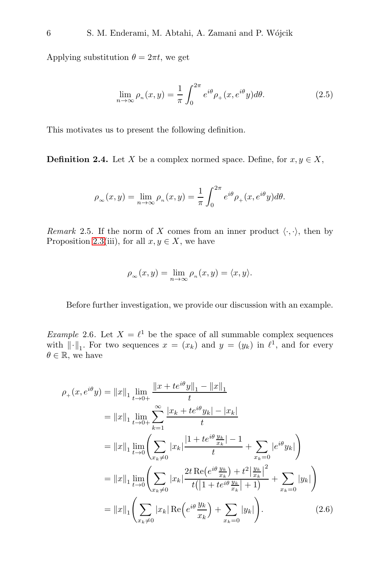Applying substitution  $\theta = 2\pi t$ , we get

$$
\lim_{n \to \infty} \rho_n(x, y) = \frac{1}{\pi} \int_0^{2\pi} e^{i\theta} \rho_+(x, e^{i\theta} y) d\theta.
$$
 (2.5)

This motivates us to present the following definition.

**Definition 2.4.** Let X be a complex normed space. Define, for  $x, y \in X$ ,

$$
\rho_{\infty}(x,y) = \lim_{n \to \infty} \rho_n(x,y) = \frac{1}{\pi} \int_0^{2\pi} e^{i\theta} \rho_+(x, e^{i\theta}y) d\theta.
$$

*Remark* 2.5. If the norm of X comes from an inner product  $\langle \cdot, \cdot \rangle$ , then by Proposition [2.3\(](#page-3-3)iii), for all  $x, y \in X$ , we have

$$
\rho_{\infty}(x, y) = \lim_{n \to \infty} \rho_n(x, y) = \langle x, y \rangle.
$$

Before further investigation, we provide our discussion with an example.

<span id="page-5-0"></span>*Example* 2.6. Let  $X = \ell^1$  be the space of all summable complex sequences with  $\|\cdot\|_1$ . For two sequences  $x = (x_k)$  and  $y = (y_k)$  in  $\ell^1$ , and for every  $\theta \in \mathbb{R}$ , we have

<span id="page-5-1"></span>
$$
\rho_{+}(x, e^{i\theta} y) = ||x||_{1} \lim_{t \to 0+} \frac{||x + te^{i\theta} y||_{1} - ||x||_{1}}{t}
$$
\n
$$
= ||x||_{1} \lim_{t \to 0+} \sum_{k=1}^{\infty} \frac{|x_{k} + te^{i\theta} y_{k}| - |x_{k}|}{t}
$$
\n
$$
= ||x||_{1} \lim_{t \to 0} \left( \sum_{x_{k} \neq 0} |x_{k}| \frac{|1 + te^{i\theta} \frac{y_{k}}{x_{k}}| - 1}{t} + \sum_{x_{k} = 0} |e^{i\theta} y_{k}| \right)
$$
\n
$$
= ||x||_{1} \lim_{t \to 0} \left( \sum_{x_{k} \neq 0} |x_{k}| \frac{2t \operatorname{Re}(e^{i\theta} \frac{y_{k}}{x_{k}}) + t^{2} \left| \frac{y_{k}}{x_{k}} \right|^{2}}{t \left( |1 + te^{i\theta} \frac{y_{k}}{x_{k}}| + 1 \right)} + \sum_{x_{k} = 0} |y_{k}| \right)
$$
\n
$$
= ||x||_{1} \left( \sum_{x_{k} \neq 0} |x_{k}| \operatorname{Re}(e^{i\theta} \frac{y_{k}}{x_{k}}) + \sum_{x_{k} = 0} |y_{k}| \right). \tag{2.6}
$$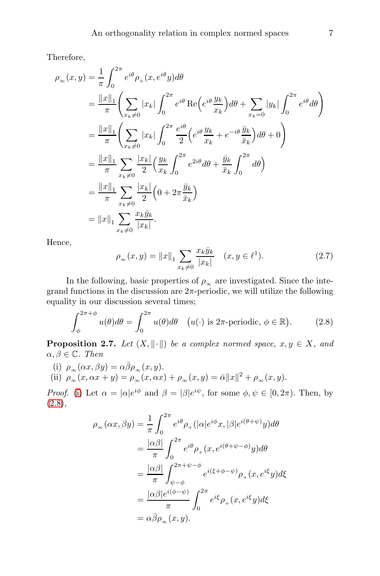Therefore,

$$
\rho_{\infty}(x,y) = \frac{1}{\pi} \int_0^{2\pi} e^{i\theta} \rho_+(x, e^{i\theta} y) d\theta
$$
  
\n
$$
= \frac{\|x\|_1}{\pi} \left( \sum_{x_k \neq 0} |x_k| \int_0^{2\pi} e^{i\theta} \operatorname{Re}\left(e^{i\theta} \frac{y_k}{x_k}\right) d\theta + \sum_{x_k=0} |y_k| \int_0^{2\pi} e^{i\theta} d\theta \right)
$$
  
\n
$$
= \frac{\|x\|_1}{\pi} \left( \sum_{x_k \neq 0} |x_k| \int_0^{2\pi} \frac{e^{i\theta}}{2} \left(e^{i\theta} \frac{y_k}{x_k} + e^{-i\theta} \frac{\bar{y}_k}{\bar{x}_k}\right) d\theta + 0 \right)
$$
  
\n
$$
= \frac{\|x\|_1}{\pi} \sum_{x_k \neq 0} \frac{|x_k|}{2} \left( \frac{y_k}{x_k} \int_0^{2\pi} e^{2i\theta} d\theta + \frac{\bar{y}_k}{\bar{x}_k} \int_0^{2\pi} d\theta \right)
$$
  
\n
$$
= \frac{\|x\|_1}{\pi} \sum_{x_k \neq 0} \frac{|x_k|}{2} \left( 0 + 2\pi \frac{\bar{y}_k}{\bar{x}_k} \right)
$$
  
\n
$$
= \|x\|_1 \sum_{x_k \neq 0} \frac{x_k \bar{y}_k}{|x_k|}.
$$

Hence,

<span id="page-6-4"></span>
$$
\rho_{\infty}(x, y) = ||x||_1 \sum_{x_k \neq 0} \frac{x_k \bar{y}_k}{|x_k|} \quad (x, y \in \ell^1). \tag{2.7}
$$

In the following, basic properties of  $\rho_{\infty}$  are investigated. Since the integrand functions in the discussion are  $2\pi$ -periodic, we will utilize the following equality in our discussion several times;

<span id="page-6-1"></span>
$$
\int_{\phi}^{2\pi+\phi} u(\theta)d\theta = \int_{0}^{2\pi} u(\theta)d\theta \quad (u(\cdot) \text{ is } 2\pi\text{-periodic, } \phi \in \mathbb{R}).\tag{2.8}
$$

<span id="page-6-3"></span>**Proposition 2.7.** *Let*  $(X, \|\cdot\|)$  *be a complex normed space,*  $x, y \in X$ *, and*  $\alpha, \beta \in \mathbb{C}$ *. Then* 

<span id="page-6-2"></span><span id="page-6-0"></span>(i)  $\rho_{\infty}(\alpha x, \beta y) = \alpha \overline{\beta} \rho_{\infty}(x, y).$ (ii)  $\rho_{\infty}(x, \alpha x + y) = \rho_{\infty}(x, \alpha x) + \rho_{\infty}(x, y) = \bar{\alpha} ||x||^2 + \rho_{\infty}(x, y).$ 

*Proof.* [\(i\)](#page-6-0) Let  $\alpha = |\alpha|e^{i\phi}$  and  $\beta = |\beta|e^{i\psi}$ , for some  $\phi, \psi \in [0, 2\pi)$ . Then, by  $(2.8),$  $(2.8),$ 

$$
\rho_{\infty}(\alpha x, \beta y) = \frac{1}{\pi} \int_0^{2\pi} e^{i\theta} \rho_+ (|\alpha| e^{i\phi} x, |\beta| e^{i(\theta + \psi)} y) d\theta
$$
  
\n
$$
= \frac{|\alpha \beta|}{\pi} \int_0^{2\pi} e^{i\theta} \rho_+ (x, e^{i(\theta + \psi - \phi)} y) d\theta
$$
  
\n
$$
= \frac{|\alpha \beta|}{\pi} \int_{\psi - \phi}^{2\pi + \psi - \phi} e^{i(\xi + \phi - \psi)} \rho_+ (x, e^{i\xi} y) d\xi
$$
  
\n
$$
= \frac{|\alpha \beta| e^{i(\phi - \psi)}}{\pi} \int_0^{2\pi} e^{i\xi} \rho_+ (x, e^{i\xi} y) d\xi
$$
  
\n
$$
= \alpha \bar{\beta} \rho_{\infty} (x, y).
$$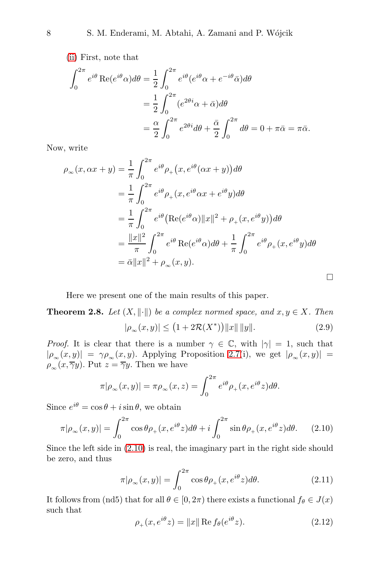[\(ii\)](#page-6-2) First, note that

$$
\int_0^{2\pi} e^{i\theta} \operatorname{Re}(e^{i\theta}\alpha) d\theta = \frac{1}{2} \int_0^{2\pi} e^{i\theta} (e^{i\theta}\alpha + e^{-i\theta}\bar{\alpha}) d\theta
$$

$$
= \frac{1}{2} \int_0^{2\pi} (e^{2\theta i}\alpha + \bar{\alpha}) d\theta
$$

$$
= \frac{\alpha}{2} \int_0^{2\pi} e^{2\theta i} d\theta + \frac{\bar{\alpha}}{2} \int_0^{2\pi} d\theta = 0 + \pi \bar{\alpha} = \pi \bar{\alpha}.
$$

Now, write

$$
\rho_{\infty}(x, \alpha x + y) = \frac{1}{\pi} \int_0^{2\pi} e^{i\theta} \rho_+(x, e^{i\theta}(\alpha x + y)) d\theta
$$
  
\n
$$
= \frac{1}{\pi} \int_0^{2\pi} e^{i\theta} \rho_+(x, e^{i\theta} \alpha x + e^{i\theta} y) d\theta
$$
  
\n
$$
= \frac{1}{\pi} \int_0^{2\pi} e^{i\theta} (\text{Re}(e^{i\theta} \alpha) ||x||^2 + \rho_+(x, e^{i\theta} y)) d\theta
$$
  
\n
$$
= \frac{||x||^2}{\pi} \int_0^{2\pi} e^{i\theta} \text{Re}(e^{i\theta} \alpha) d\theta + \frac{1}{\pi} \int_0^{2\pi} e^{i\theta} \rho_+(x, e^{i\theta} y) d\theta
$$
  
\n
$$
= \bar{\alpha} ||x||^2 + \rho_{\infty}(x, y).
$$

Here we present one of the main results of this paper.

<span id="page-7-3"></span>**Theorem 2.8.** *Let*  $(X, \|\cdot\|)$  *be a complex normed space, and*  $x, y \in X$ *. Then*  $|\rho_{\infty}(x, y)| \le (1 + 2\mathcal{R}(X^*)) ||x|| ||y||.$  (2.9)

*Proof.* It is clear that there is a number  $\gamma \in \mathbb{C}$ , with  $|\gamma| = 1$ , such that  $|\rho_{\infty}(x,y)| = \gamma \rho_{\infty}(x,y)$ . Applying Proposition [2.7\(](#page-6-3)i), we get  $|\rho_{\infty}(x,y)| =$  $\rho_{\infty}(x,\overline{\gamma}y)$ . Put  $z=\overline{\gamma}y$ . Then we have

<span id="page-7-4"></span>
$$
\pi|\rho_{\infty}(x,y)| = \pi \rho_{\infty}(x,z) = \int_0^{2\pi} e^{i\theta} \rho_+(x,e^{i\theta}z) d\theta.
$$

Since  $e^{i\theta} = \cos \theta + i \sin \theta$ , we obtain

<span id="page-7-0"></span>
$$
\pi|\rho_{\infty}(x,y)| = \int_0^{2\pi} \cos\theta \rho_+(x, e^{i\theta}z) d\theta + i \int_0^{2\pi} \sin\theta \rho_+(x, e^{i\theta}z) d\theta.
$$
 (2.10)

Since the left side in [\(2.10\)](#page-7-0) is real, the imaginary part in the right side should be zero, and thus

<span id="page-7-1"></span>
$$
\pi|\rho_{\infty}(x,y)| = \int_0^{2\pi} \cos\theta \rho_+(x,e^{i\theta}z)d\theta.
$$
 (2.11)

It follows from (nd5) that for all  $\theta \in [0, 2\pi)$  there exists a functional  $f_{\theta} \in J(x)$ such that

<span id="page-7-2"></span>
$$
\rho_+(x, e^{i\theta}z) = ||x|| \operatorname{Re} f_\theta(e^{i\theta}z). \tag{2.12}
$$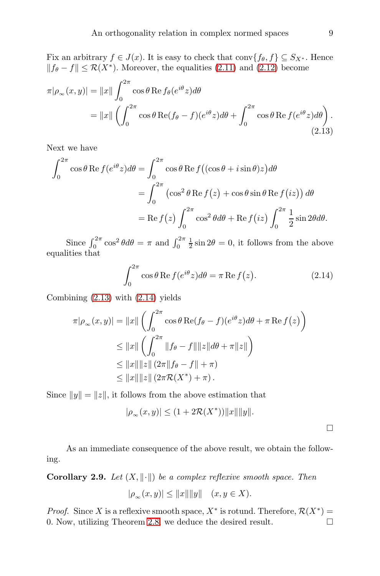Fix an arbitrary  $f \in J(x)$ . It is easy to check that conv $\{f_{\theta}, f\} \subseteq S_{X^*}$ . Hence  $|| f_{\theta} - f ||$  ≤  $\mathcal{R}(X^*)$ . Moreover, the equalities [\(2.11\)](#page-7-1) and [\(2.12\)](#page-7-2) become

$$
\pi|\rho_{\infty}(x,y)| = \|x\| \int_0^{2\pi} \cos\theta \operatorname{Re} f_{\theta}(e^{i\theta}z) d\theta
$$
  
= 
$$
\|x\| \left( \int_0^{2\pi} \cos\theta \operatorname{Re}(f_{\theta} - f)(e^{i\theta}z) d\theta + \int_0^{2\pi} \cos\theta \operatorname{Re} f(e^{i\theta}z) d\theta \right).
$$
(2.13)

Next we have

$$
\int_0^{2\pi} \cos\theta \operatorname{Re} f(e^{i\theta} z) d\theta = \int_0^{2\pi} \cos\theta \operatorname{Re} f((\cos\theta + i\sin\theta)z) d\theta
$$

$$
= \int_0^{2\pi} (\cos^2\theta \operatorname{Re} f(z) + \cos\theta \sin\theta \operatorname{Re} f(iz)) d\theta
$$

$$
= \operatorname{Re} f(z) \int_0^{2\pi} \cos^2\theta d\theta + \operatorname{Re} f(iz) \int_0^{2\pi} \frac{1}{2} \sin 2\theta d\theta.
$$

Since  $\int_0^{2\pi} \cos^2 \theta d\theta = \pi$  and  $\int_0^{2\pi} \frac{1}{2} \sin 2\theta = 0$ , it follows from the above equalities that

<span id="page-8-0"></span>
$$
\int_0^{2\pi} \cos \theta \operatorname{Re} f(e^{i\theta} z) d\theta = \pi \operatorname{Re} f(z).
$$
 (2.14)

Combining [\(2.13\)](#page-8-0) with [\(2.14\)](#page-8-1) yields

$$
\pi|\rho_{\infty}(x,y)| = \|x\| \left( \int_0^{2\pi} \cos \theta \operatorname{Re}(f_{\theta} - f)(e^{i\theta} z) d\theta + \pi \operatorname{Re} f(z) \right)
$$
  
\n
$$
\leq \|x\| \left( \int_0^{2\pi} \|f_{\theta} - f\| \|z\| d\theta + \pi \|z\| \right)
$$
  
\n
$$
\leq \|x\| \|z\| \left( 2\pi \|f_{\theta} - f\| + \pi \right)
$$
  
\n
$$
\leq \|x\| \|z\| \left( 2\pi \mathcal{R}(X^*) + \pi \right).
$$

Since  $||y|| = ||z||$ , it follows from the above estimation that

$$
|\rho_{\infty}(x,y)| \le (1 + 2\mathcal{R}(X^*)) ||x|| ||y||.
$$

As an immediate consequence of the above result, we obtain the following.

**Corollary 2.9.** *Let*  $(X, \|\cdot\|)$  *be a complex reflexive smooth space. Then* 

$$
|\rho_{\infty}(x, y)| \le ||x|| ||y|| \quad (x, y \in X).
$$

*Proof.* Since X is a reflexive smooth space,  $X^*$  is rotund. Therefore,  $\mathcal{R}(X^*)$  = 0. Now, utilizing Theorem [2.8,](#page-7-3) we deduce the desired result.

<span id="page-8-1"></span> $\Box$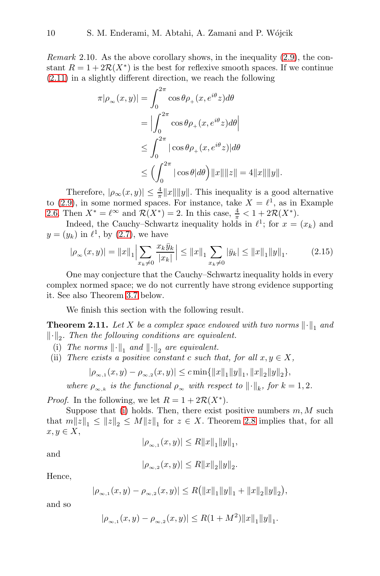*Remark* 2.10*.* As the above corollary shows, in the inequality [\(2.9\)](#page-7-4), the constant  $R = 1 + 2\mathcal{R}(X^*)$  is the best for reflexive smooth spaces. If we continue [\(2.11\)](#page-7-1) in a slightly different direction, we reach the following

$$
\pi|\rho_{\infty}(x,y)| = \int_0^{2\pi} \cos\theta \rho_+(x, e^{i\theta}z) d\theta
$$
  
\n
$$
= \left| \int_0^{2\pi} \cos\theta \rho_+(x, e^{i\theta}z) d\theta \right|
$$
  
\n
$$
\leq \int_0^{2\pi} |\cos\theta \rho_+(x, e^{i\theta}z)| d\theta
$$
  
\n
$$
\leq \left( \int_0^{2\pi} |\cos\theta| d\theta \right) ||x|| ||z|| = 4 ||x|| ||y||.
$$

Therefore,  $|\rho_{\infty}(x, y)| \leq \frac{4}{\pi} ||x|| ||y||$ . This inequality is a good alternative to  $(2.9)$ , in some normed spaces. For instance, take  $X = \ell^1$ , as in Example [2.6.](#page-5-0) Then  $X^* = \ell^{\infty}$  and  $\mathcal{R}(X^*) = 2$ . In this case,  $\frac{4}{\pi} < 1 + 2\mathcal{R}(X^*)$ .

Indeed, the Cauchy–Schwartz inequality holds in  $\ell^1$ ; for  $x = (x_k)$  and  $y=(y_k)$  in  $\ell^1$ , by  $(2.7)$ , we have

<span id="page-9-2"></span>
$$
|\rho_{\infty}(x,y)| = \|x\|_1 \Big| \sum_{x_k \neq 0} \frac{x_k \bar{y}_k}{|x_k|} \Big| \le \|x\|_1 \sum_{x_k \neq 0} |\bar{y}_k| \le \|x\|_1 \|y\|_1. \tag{2.15}
$$

One may conjecture that the Cauchy–Schwartz inequality holds in every complex normed space; we do not currently have strong evidence supporting it. See also Theorem [3.7](#page-11-0) below.

We finish this section with the following result.

**Theorem 2.11.** Let X be a complex space endowed with two norms  $\lVert \cdot \rVert_1$  and  $\left\Vert \cdot\right\Vert _{2}$ . Then the following conditions are equivalent.

- <span id="page-9-1"></span><span id="page-9-0"></span>(i) The norms  $\left\| \cdot \right\|_1$  and  $\left\| \cdot \right\|_2$  are equivalent.
- (ii) *There exists a positive constant* c *such that, for all*  $x, y \in X$ ,

$$
|\rho_{\infty,1}(x,y)-\rho_{\infty,2}(x,y)|\leq c\min\{\|x\|_1\|y\|_1,\|x\|_2\|y\|_2\},\
$$

*where*  $\rho_{\infty,k}$  *is the functional*  $\rho_{\infty}$  *with respect to*  $\|\cdot\|_k$ *, for*  $k = 1, 2$ *.* 

*Proof.* In the following, we let  $R = 1 + 2\mathcal{R}(X^*)$ .

Suppose that [\(i\)](#page-9-0) holds. Then, there exist positive numbers  $m, M$  such that  $m||z||_1 \le ||z||_2 \le M||z||_1$  for  $z \in X$ . Theorem [2.8](#page-7-3) implies that, for all  $x, y \in X$ ,

$$
|\rho_{\infty,1}(x,y)| \le R ||x||_1 ||y||_1,
$$

and

$$
|\rho_{\infty,2}(x,y)| \le R ||x||_2 ||y||_2.
$$

Hence,

$$
|\rho_{\infty,1}(x,y)-\rho_{\infty,2}(x,y)|\leq R(||x||_1||y||_1+||x||_2||y||_2),
$$

and so

$$
|\rho_{\infty,1}(x,y)-\rho_{\infty,2}(x,y)|\leq R(1+M^2)\|x\|_1\|y\|_1.
$$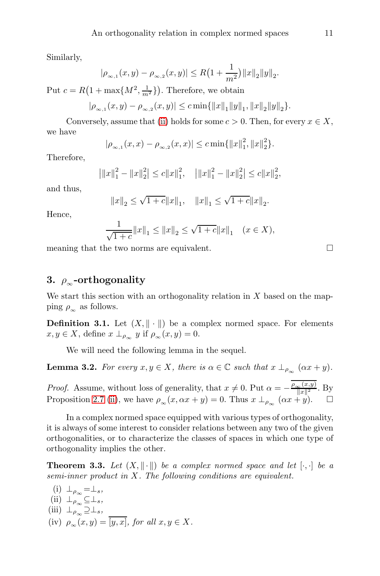Similarly,

$$
|\rho_{\infty,1}(x,y)-\rho_{\infty,2}(x,y)| \leq R\left(1+\frac{1}{m^2}\right) ||x||_2 ||y||_2.
$$

Put  $c = R(1 + \max\{M^2, \frac{1}{m^2}\})$ . Therefore, we obtain

$$
|\rho_{\infty,1}(x,y)-\rho_{\infty,2}(x,y)|\leq c\min\{\|x\|_1\|y\|_1,\|x\|_2\|y\|_2\}.
$$

Conversely, assume that [\(ii\)](#page-9-1) holds for some  $c > 0$ . Then, for every  $x \in X$ , we have

$$
|\rho_{\infty,1}(x,x)-\rho_{\infty,2}(x,x)|\leq c\min\{\|x\|_{1}^{2},\|x\|_{2}^{2}\}.
$$

Therefore,

$$
\left|\|x\|_{1}^{2}-\|x\|_{2}^{2}\right|\leq c\|x\|_{1}^{2},\quad\left|\|x\|_{1}^{2}-\|x\|_{2}^{2}\right|\leq c\|x\|_{2}^{2},
$$

and thus,

$$
||x||_2 \le \sqrt{1+c} ||x||_1, \quad ||x||_1 \le \sqrt{1+c} ||x||_2.
$$

Hence,

$$
\frac{1}{\sqrt{1+c}}||x||_1 \le ||x||_2 \le \sqrt{1+c}||x||_1 \quad (x \in X),
$$

meaning that the two norms are equivalent.

# 3.  $\rho_{\infty}$ -orthogonality

We start this section with an orthogonality relation in  $X$  based on the mapping  $\rho_{\infty}$  as follows.

**Definition 3.1.** Let  $(X, \|\cdot\|)$  be a complex normed space. For elements  $x, y \in X$ , define  $x \perp_{\rho_{\infty}} y$  if  $\rho_{\infty}(x, y) = 0$ .

We will need the following lemma in the sequel.

<span id="page-10-4"></span>**Lemma 3.2.** For every  $x, y \in X$ , there is  $\alpha \in \mathbb{C}$  such that  $x \perp_{\rho_{\infty}} (\alpha x + y)$ .

*Proof.* Assume, without loss of generality, that  $x \neq 0$ . Put  $\alpha = -\frac{\rho_{\infty}(x,y)}{\|x\|^2}$ . By Proposition [2.7](#page-6-3) [\(ii\)](#page-6-2), we have  $\rho_{\infty}(x, \alpha x + y) = 0$ . Thus  $x \perp_{\rho_{\infty}} (\alpha x + y)$ .  $\Box$ 

In a complex normed space equipped with various types of orthogonality, it is always of some interest to consider relations between any two of the given orthogonalities, or to characterize the classes of spaces in which one type of orthogonality implies the other.

<span id="page-10-5"></span>**Theorem 3.3.** Let  $(X, \|\cdot\|)$  be a complex normed space and let  $[\cdot, \cdot]$  be a *semi-inner product in* X*. The following conditions are equivalent.*

<span id="page-10-3"></span><span id="page-10-2"></span><span id="page-10-1"></span><span id="page-10-0"></span>(i) 
$$
\perp_{\rho_{\infty}} = \perp_s
$$
,  
\n(ii)  $\perp_{\rho_{\infty}} \subseteq \perp_s$ ,  
\n(iii)  $\perp_{\rho_{\infty}} \supseteq \perp_s$ ,  
\n(iv)  $\rho_{\infty}(x, y) = \overline{[y, x]}$ , for all  $x, y \in X$ .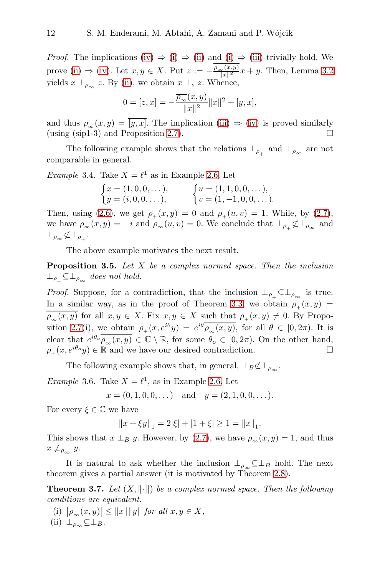*Proof.* The implications [\(iv\)](#page-10-0)  $\Rightarrow$  [\(i\)](#page-10-1)  $\Rightarrow$  [\(ii\)](#page-10-2) and [\(i\)](#page-10-1)  $\Rightarrow$  [\(iii\)](#page-10-3) trivially hold. We prove [\(ii\)](#page-10-2)  $\Rightarrow$  [\(iv\)](#page-10-0). Let  $x, y \in X$ . Put  $z := -\frac{\rho_{\infty}(x, y)}{\|x\|^2}x + y$ . Then, Lemma [3.2](#page-10-4) yields  $x \perp_{\rho_{\infty}} z$ . By [\(ii\)](#page-10-2), we obtain  $x \perp_s z$ . Whence,

$$
0 = [z, x] = -\frac{\overline{\rho_{\infty}}(x, y)}{\|x\|^2} \|x\|^2 + [y, x],
$$

and thus  $\rho_{\infty}(x, y) = \overline{[y, x]}$ . The implication [\(iii\)](#page-10-3)  $\Rightarrow$  [\(iv\)](#page-10-0) is proved similarly (using (sip1-3) and Proposition [2.7\)](#page-6-3).

The following example shows that the relations  $\perp_{\rho_+}$  and  $\perp_{\rho_\infty}$  are not comparable in general.

*Example* 3.4. Take  $X = \ell^1$  as in Example [2.6.](#page-5-0) Let

$$
\begin{cases}\nx = (1, 0, 0, \dots), \\
y = (i, 0, 0, \dots), \\
\end{cases}\n\qquad\n\begin{cases}\nu = (1, 1, 0, 0, \dots), \\
v = (1, -1, 0, 0, \dots).\n\end{cases}
$$

Then, using [\(2.6\)](#page-5-1), we get  $\rho_+(x, y) = 0$  and  $\rho_+(u, v) = 1$ . While, by [\(2.7\)](#page-6-4), we have  $\rho_{\infty}(x, y) = -i$  and  $\rho_{\infty}(u, v) = 0$ . We conclude that  $\perp_{\rho_+} \not\subset \perp_{\rho_{\infty}}$  and  $\perp_{\rho_{\infty}} \not\subset \perp_{\rho_{+}}$ .

The above example motivates the next result.

Proposition 3.5. *Let* X *be a complex normed space. Then the inclusion*  $\perp_{\rho_+} \subseteq \perp_{\rho_{\infty}}$  does not hold.

*Proof.* Suppose, for a contradiction, that the inclusion  $\perp_{\rho_+} \subseteq \perp_{\rho_{\infty}}$  is true. In a similar way, as in the proof of Theorem [3.3,](#page-10-5) we obtain  $\rho_+(x, y)$  =  $\rho_{\infty}(x, y)$  for all  $x, y \in X$ . Fix  $x, y \in X$  such that  $\rho_{\perp}(x, y) \neq 0$ . By Propo-sition [2.7\(](#page-6-3)i), we obtain  $\rho_+(x,e^{i\theta}y) = e^{i\theta}\rho_\infty(x,y)$ , for all  $\theta \in [0,2\pi)$ . It is clear that  $e^{i\theta_o} \overline{\rho_\infty(x,y)} \in \mathbb{C} \setminus \mathbb{R}$ , for some  $\theta_o \in [0, 2\pi)$ . On the other hand,  $\rho_+(x, e^{i\theta_o}y) \in \mathbb{R}$  and we have our desired contradiction.

The following example shows that, in general,  $\perp_B \not\subset \perp_{\rho_{\infty}}$ .

*Example* 3.6. Take  $X = \ell^1$ , as in Example [2.6.](#page-5-0) Let

 $x = (0, 1, 0, 0, \dots)$  and  $y = (2, 1, 0, 0, \dots)$ .

For every  $\xi \in \mathbb{C}$  we have

$$
||x + \xi y||_1 = 2|\xi| + |1 + \xi| \ge 1 = ||x||_1.
$$

This shows that  $x \perp_B y$ . However, by [\(2.7\)](#page-6-4), we have  $\rho_{\infty}(x, y) = 1$ , and thus  $x \nperp_{\rho_{\infty}} y.$ 

It is natural to ask whether the inclusion  $\perp_{\rho_{\infty}} \subseteq \perp_B$  hold. The next theorem gives a partial answer (it is motivated by Theorem [2.8\)](#page-7-3).

<span id="page-11-0"></span>**Theorem 3.7.** Let  $(X, \|\cdot\|)$  be a complex normed space. Then the following *conditions are equivalent.*

<span id="page-11-2"></span><span id="page-11-1"></span> $\left| \begin{matrix} \n\mu \\ \n\mu \n\end{matrix} \right| \leq \|x\| \|y\|$  for all  $x, y \in X$ ,  $(iii) \perp_{\rho_{\infty}} \subseteq \perp_B$ .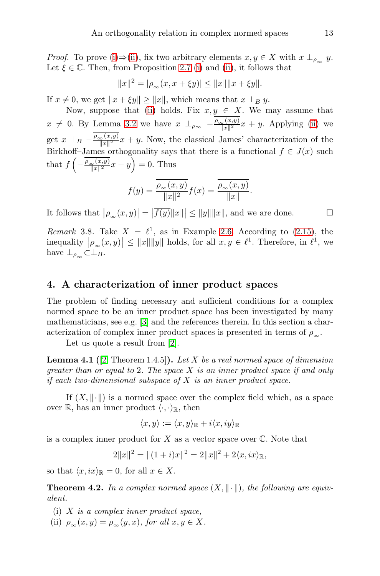*Proof.* To prove [\(i\)](#page-11-1)⇒[\(ii\)](#page-11-2), fix two arbitrary elements  $x, y \in X$  with  $x \perp_{\rho_{\infty}} y$ . Let  $\xi \in \mathbb{C}$ . Then, from Proposition [2.7](#page-6-3) [\(i\)](#page-11-1) and [\(ii\)](#page-6-2), it follows that

$$
||x||^2 = |\rho_{\infty}(x, x + \xi y)| \le ||x|| ||x + \xi y||.
$$

If  $x \neq 0$ , we get  $||x + \xi y|| \geq ||x||$ , which means that  $x \perp_B y$ .

Now, suppose that [\(ii\)](#page-11-2) holds. Fix  $x, y \in X$ . We may assume that  $x \neq 0$ . By Lemma [3.2](#page-10-4) we have  $x \perp_{\rho_{\infty}} - \frac{\rho_{\infty}(x,y)}{\|x\|^2}x + y$ . Applying [\(ii\)](#page-11-2) we get  $x \perp_B - \frac{\rho_{\infty}(x,y)}{\|x\|^2}x + y$ . Now, the classical James' characterization of the Birkhoff–James orthogonality says that there is a functional  $f \in J(x)$  such that  $f\left(-\frac{\rho_{\infty}(x,y)}{\|x\|^2}x+y\right)=0$ . Thus

$$
f(y) = \frac{\overline{\rho_{\infty}(x, y)}}{\|x\|^2} f(x) = \frac{\overline{\rho_{\infty}(x, y)}}{\|x\|}.
$$

It follows that  $|\rho_{\infty}(x,y)| = |\overline{f(y)}||x||| \le ||y|| ||x||$ , and we are done.

*Remark* 3.8. Take  $X = \ell^1$ , as in Example [2.6.](#page-5-0) According to [\(2.15\)](#page-9-2), the inequality  $|\rho_{\infty}(x,y)| \leq ||x|| ||y||$  holds, for all  $x, y \in \ell^1$ . Therefore, in  $\ell^1$ , we have  $\perp_{\rho_{\infty}} \subset \perp_B$ .

## 4. A characterization of inner product spaces

The problem of finding necessary and sufficient conditions for a complex normed space to be an inner product space has been investigated by many mathematicians, see e.g. [\[3\]](#page-16-1) and the references therein. In this section a characterization of complex inner product spaces is presented in terms of  $\rho_{\infty}$ .

Let us quote a result from [\[2\]](#page-16-0).

<span id="page-12-0"></span>Lemma 4.1 ([\[2,](#page-16-0) Theorem 1.4.5]). *Let* X *be a real normed space of dimension greater than or equal to* 2*. The space* X *is an inner product space if and only if each two-dimensional subspace of* X *is an inner product space.*

If  $(X, \|\cdot\|)$  is a normed space over the complex field which, as a space over  $\mathbb{R}$ , has an inner product  $\langle \cdot, \cdot \rangle_{\mathbb{R}}$ , then

$$
\langle x, y \rangle := \langle x, y \rangle_{\mathbb{R}} + i \langle x, iy \rangle_{\mathbb{R}}
$$

is a complex inner product for  $X$  as a vector space over  $\mathbb{C}$ . Note that

$$
2||x||^2 = ||(1+i)x||^2 = 2||x||^2 + 2\langle x, ix \rangle_{\mathbb{R}},
$$

so that  $\langle x, ix \rangle_{\mathbb{R}} = 0$ , for all  $x \in X$ .

<span id="page-12-1"></span>**Theorem 4.2.** In a complex normed space  $(X, \|\cdot\|)$ , the following are equiv*alent.*

- (i) X *is a complex inner product space,*
- (ii)  $\rho_{\infty}(x, y) = \rho_{\infty}(y, x)$ *, for all*  $x, y \in X$ *.*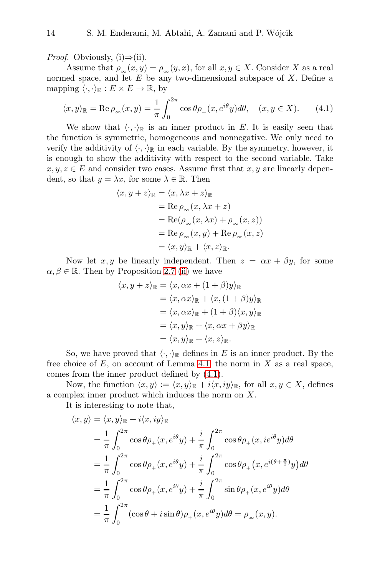*Proof.* Obviously,  $(i) \Rightarrow (ii)$ .

Assume that  $\rho_{\infty}(x, y) = \rho_{\infty}(y, x)$ , for all  $x, y \in X$ . Consider X as a real normed space, and let  $E$  be any two-dimensional subspace of  $X$ . Define a mapping  $\langle \cdot, \cdot \rangle_{\mathbb{R}} : E \times E \to \mathbb{R}$ , by

<span id="page-13-0"></span>
$$
\langle x, y \rangle_{\mathbb{R}} = \text{Re}\,\rho_{\infty}(x, y) = \frac{1}{\pi} \int_0^{2\pi} \cos \theta \rho_+(x, e^{i\theta}y) d\theta, \quad (x, y \in X). \tag{4.1}
$$

We show that  $\langle \cdot, \cdot \rangle_{\mathbb{R}}$  is an inner product in E. It is easily seen that the function is symmetric, homogeneous and nonnegative. We only need to verify the additivity of  $\langle \cdot, \cdot \rangle_{\mathbb{R}}$  in each variable. By the symmetry, however, it is enough to show the additivity with respect to the second variable. Take  $x, y, z \in E$  and consider two cases. Assume first that  $x, y$  are linearly dependent, so that  $y = \lambda x$ , for some  $\lambda \in \mathbb{R}$ . Then

$$
\langle x, y + z \rangle_{\mathbb{R}} = \langle x, \lambda x + z \rangle_{\mathbb{R}}
$$
  
= Re  $\rho_{\infty}(x, \lambda x + z)$   
= Re $(\rho_{\infty}(x, \lambda x) + \rho_{\infty}(x, z))$   
= Re  $\rho_{\infty}(x, y) + \text{Re } \rho_{\infty}(x, z)$   
=  $\langle x, y \rangle_{\mathbb{R}} + \langle x, z \rangle_{\mathbb{R}}$ .

Now let  $x, y$  be linearly independent. Then  $z = \alpha x + \beta y$ , for some  $\alpha, \beta \in \mathbb{R}$ . Then by Proposition [2.7](#page-6-3) [\(ii\)](#page-6-2) we have

$$
\langle x, y + z \rangle_{\mathbb{R}} = \langle x, \alpha x + (1 + \beta)y \rangle_{\mathbb{R}}
$$
  
\n
$$
= \langle x, \alpha x \rangle_{\mathbb{R}} + \langle x, (1 + \beta)y \rangle_{\mathbb{R}}
$$
  
\n
$$
= \langle x, \alpha x \rangle_{\mathbb{R}} + (1 + \beta) \langle x, y \rangle_{\mathbb{R}}
$$
  
\n
$$
= \langle x, y \rangle_{\mathbb{R}} + \langle x, \alpha x + \beta y \rangle_{\mathbb{R}}
$$
  
\n
$$
= \langle x, y \rangle_{\mathbb{R}} + \langle x, z \rangle_{\mathbb{R}}.
$$

So, we have proved that  $\langle \cdot, \cdot \rangle_{\mathbb{R}}$  defines in E is an inner product. By the free choice of  $E$ , on account of Lemma [4.1,](#page-12-0) the norm in  $X$  as a real space, comes from the inner product defined by [\(4.1\)](#page-13-0).

Now, the function  $\langle x, y \rangle := \langle x, y \rangle_{\mathbb{R}} + i \langle x, iy \rangle_{\mathbb{R}}$ , for all  $x, y \in X$ , defines a complex inner product which induces the norm on X.

It is interesting to note that,

$$
\langle x, y \rangle = \langle x, y \rangle_{\mathbb{R}} + i \langle x, iy \rangle_{\mathbb{R}}
$$
  
\n
$$
= \frac{1}{\pi} \int_0^{2\pi} \cos \theta \rho_+(x, e^{i\theta} y) + \frac{i}{\pi} \int_0^{2\pi} \cos \theta \rho_+(x, i e^{i\theta} y) d\theta
$$
  
\n
$$
= \frac{1}{\pi} \int_0^{2\pi} \cos \theta \rho_+(x, e^{i\theta} y) + \frac{i}{\pi} \int_0^{2\pi} \cos \theta \rho_+(x, e^{i(\theta + \frac{\pi}{2})} y) d\theta
$$
  
\n
$$
= \frac{1}{\pi} \int_0^{2\pi} \cos \theta \rho_+(x, e^{i\theta} y) + \frac{i}{\pi} \int_0^{2\pi} \sin \theta \rho_+(x, e^{i\theta} y) d\theta
$$
  
\n
$$
= \frac{1}{\pi} \int_0^{2\pi} (\cos \theta + i \sin \theta) \rho_+(x, e^{i\theta} y) d\theta = \rho_\infty(x, y).
$$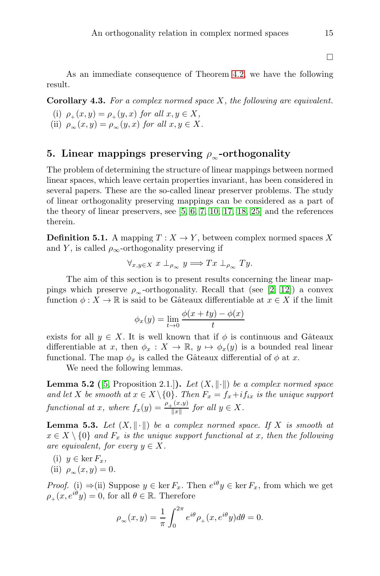$\Box$ 

As an immediate consequence of Theorem [4.2,](#page-12-1) we have the following result.

Corollary 4.3. *For a complex normed space* X*, the following are equivalent.*

- (i)  $\rho_+(x, y) = \rho_+(y, x)$  *for all*  $x, y \in X$ ,
- (ii)  $\rho_{\infty}(x, y) = \rho_{\infty}(y, x)$  *for all*  $x, y \in X$ *.*

## 5. Linear mappings preserving  $\rho_{\infty}$ -orthogonality

The problem of determining the structure of linear mappings between normed linear spaces, which leave certain properties invariant, has been considered in several papers. These are the so-called linear preserver problems. The study of linear orthogonality preserving mappings can be considered as a part of the theory of linear preservers, see [\[5,](#page-16-4) [6,](#page-17-8) [7,](#page-17-15) [10,](#page-17-4) [17,](#page-17-16) [18,](#page-17-17) [25\]](#page-17-18) and the references therein.

**Definition 5.1.** A mapping  $T : X \to Y$ , between complex normed spaces X and Y, is called  $\rho_{\infty}$ -orthogonality preserving if

$$
\forall_{x,y\in X} x \perp_{\rho_{\infty}} y \Longrightarrow Tx \perp_{\rho_{\infty}} Ty.
$$

The aim of this section is to present results concerning the linear mappings which preserve  $\rho_{\infty}$ -orthogonality. Recall that (see [\[2,](#page-16-0) [12\]](#page-17-3)) a convex function  $\phi: X \to \mathbb{R}$  is said to be Gâteaux differentiable at  $x \in X$  if the limit

$$
\phi_x(y) = \lim_{t \to 0} \frac{\phi(x + ty) - \phi(x)}{t}
$$

exists for all  $y \in X$ . It is well known that if  $\phi$  is continuous and Gâteaux differentiable at x, then  $\phi_x : X \to \mathbb{R}, y \mapsto \phi_x(y)$  is a bounded real linear functional. The map  $\phi_x$  is called the Gâteaux differential of  $\phi$  at x.

We need the following lemmas.

**Lemma 5.2** ([\[5,](#page-16-4) Proposition 2.1.]). Let  $(X, \|\cdot\|)$  be a complex normed space *and let* X *be smooth at*  $x \in X \setminus \{0\}$ *. Then*  $F_x = f_x + if_{ix}$  *is the unique support functional at x, where*  $f_x(y) = \frac{\rho_+(x,y)}{||x||}$  $\frac{f(x,y)}{\Vert x \Vert}$  for all  $y \in X$ .

<span id="page-14-0"></span>**Lemma 5.3.** Let  $(X, \|\cdot\|)$  be a complex normed space. If X is smooth at  $x \in X \setminus \{0\}$  and  $F_x$  is the unique support functional at x, then the following *are equivalent, for every*  $y \in X$ .

- (i)  $y \in \ker F_x$ ,
- (ii)  $\rho_{\infty}(x, y) = 0.$

*Proof.* (i)  $\Rightarrow$  (ii) Suppose  $y \in \ker F_x$ . Then  $e^{i\theta}y \in \ker F_x$ , from which we get  $\rho_+(x, e^{i\theta}y) = 0$ , for all  $\theta \in \mathbb{R}$ . Therefore

$$
\rho_{\infty}(x,y) = \frac{1}{\pi} \int_0^{2\pi} e^{i\theta} \rho_+(x, e^{i\theta} y) d\theta = 0.
$$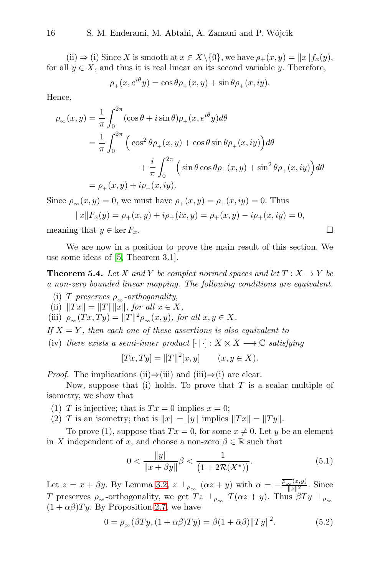(ii)  $\Rightarrow$  (i) Since X is smooth at  $x \in X \setminus \{0\}$ , we have  $\rho_+(x, y) = ||x|| f_x(y)$ , for all  $y \in X$ , and thus it is real linear on its second variable y. Therefore,

$$
\rho_+(x, e^{i\theta} y) = \cos \theta \rho_+(x, y) + \sin \theta \rho_+(x, iy).
$$

Hence,

$$
\rho_{\infty}(x, y) = \frac{1}{\pi} \int_0^{2\pi} (\cos \theta + i \sin \theta) \rho_+(x, e^{i\theta} y) d\theta
$$
  
=  $\frac{1}{\pi} \int_0^{2\pi} \left( \cos^2 \theta \rho_+(x, y) + \cos \theta \sin \theta \rho_+(x, iy) \right) d\theta$   
 $+ \frac{i}{\pi} \int_0^{2\pi} \left( \sin \theta \cos \theta \rho_+(x, y) + \sin^2 \theta \rho_+(x, iy) \right) d\theta$   
=  $\rho_+(x, y) + i\rho_+(x, iy).$ 

Since  $\rho_{\infty}(x, y) = 0$ , we must have  $\rho_{\perp}(x, y) = \rho_{\perp}(x, iy) = 0$ . Thus

$$
||x||F_x(y) = \rho_+(x, y) + i\rho_+(ix, y) = \rho_+(x, y) - i\rho_+(x, iy) = 0,
$$

meaning that  $y \in \ker F_x$ .

We are now in a position to prove the main result of this section. We use some ideas of [\[5,](#page-16-4) Theorem 3.1].

<span id="page-15-2"></span>**Theorem 5.4.** *Let* X and Y be complex normed spaces and let  $T : X \rightarrow Y$  be *a non-zero bounded linear mapping. The following conditions are equivalent.*

- (i) *T* preserves  $\rho_{\infty}$ -orthogonality,
- (ii)  $\|Tx\| = \|T\| \|\tilde{x}\|$ *, for all*  $x \in X$ *,*
- (iii)  $\rho_{\infty}(Tx, Ty) = ||T||^2 \rho_{\infty}(x, y)$ *, for all*  $x, y \in X$ *.*
- *If*  $X = Y$ *, then each one of these assertions is also equivalent to*
- (iv) *there exists a semi-inner product*  $[\cdot | \cdot] : X \times X \longrightarrow \mathbb{C}$  *satisfying*

$$
[Tx, Ty] = ||T||2[x, y] \qquad (x, y \in X).
$$

*Proof.* The implications (ii)⇒(iii) and (iii)⇒(i) are clear.

Now, suppose that (i) holds. To prove that  $T$  is a scalar multiple of isometry, we show that

- (1) T is injective; that is  $Tx = 0$  implies  $x = 0$ ;
- (2) T is an isometry; that is  $||x|| = ||y||$  implies  $||Tx|| = ||Ty||$ .

To prove (1), suppose that  $Tx = 0$ , for some  $x \neq 0$ . Let y be an element in X independent of x, and choose a non-zero  $\beta \in \mathbb{R}$  such that

<span id="page-15-0"></span>
$$
0 < \frac{\|y\|}{\|x + \beta y\|} \beta < \frac{1}{\left(1 + 2\mathcal{R}(X^*)\right)}.\tag{5.1}
$$

Let  $z = x + \beta y$ . By Lemma [3.2,](#page-10-4)  $z \perp_{\rho_{\infty}} (\alpha z + y)$  with  $\alpha = -\frac{\overline{\rho_{\infty}}(z,y)}{\|z\|^2}$ . Since T preserves  $\rho_{\infty}$ -orthogonality, we get  $Tz \perp_{\rho_{\infty}} T(\alpha z + y)$ . Thus  $\beta Ty \perp_{\rho_{\infty}}$  $(1 + \alpha \beta) Ty$ . By Proposition [2.7,](#page-6-3) we have

<span id="page-15-1"></span>
$$
0 = \rho_{\infty}(\beta Ty, (1 + \alpha \beta)Ty) = \beta(1 + \bar{\alpha}\beta) ||Ty||^2.
$$
 (5.2)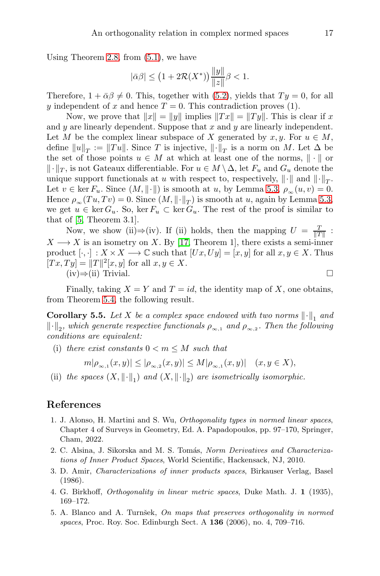Using Theorem [2.8,](#page-7-3) from [\(5.1\)](#page-15-0), we have

$$
|\bar{\alpha}\beta| \le (1 + 2\mathcal{R}(X^*)) \frac{\|y\|}{\|z\|} \beta < 1.
$$

Therefore,  $1 + \bar{\alpha}\beta \neq 0$ . This, together with [\(5.2\)](#page-15-1), yields that  $Ty = 0$ , for all y independent of x and hence  $T = 0$ . This contradiction proves (1).

Now, we prove that  $||x|| = ||y||$  implies  $||Tx|| = ||Ty||$ . This is clear if x and  $y$  are linearly dependent. Suppose that  $x$  and  $y$  are linearly independent. Let M be the complex linear subspace of X generated by  $x, y$ . For  $u \in M$ , define  $||u||_T := ||Tu||$ . Since T is injective,  $||\cdot||_T$  is a norm on M. Let  $\Delta$  be the set of those points  $u \in M$  at which at least one of the norms,  $\|\cdot\|$  or  $\Vert \cdot \Vert_T$ , is not Gateaux differentiable. For  $u \in M \setminus \Delta$ , let  $F_u$  and  $G_u$  denote the unique support functionals at u with respect to, respectively,  $\|\cdot\|$  and  $\|\cdot\|_T$ . Let  $v \in \ker F_u$ . Since  $(M, \|\cdot\|)$  is smooth at u, by Lemma [5.3,](#page-14-0)  $\rho_{\infty}(u, v) = 0$ . Hence  $\rho_{\infty}(Tu, Tv) = 0$ . Since  $(M, \|\cdot\|_T)$  is smooth at u, again by Lemma [5.3,](#page-14-0) we get  $u \in \ker G_u$ . So,  $\ker F_u \subset \ker G_u$ . The rest of the proof is similar to that of [\[5,](#page-16-4) Theorem 3.1].

Now, we show (ii) $\Rightarrow$  (iv). If (ii) holds, then the mapping  $U = \frac{T}{\|T\|}$ :  $X \longrightarrow X$  is an isometry on X. By [\[17,](#page-17-16) Theorem 1], there exists a semi-inner product  $[\cdot, \cdot] : X \times X \longrightarrow \mathbb{C}$  such that  $[Ux, Uy] = [x, y]$  for all  $x, y \in X$ . Thus  $[Tx, Ty] = ||T||^2[x, y]$  for all  $x, y \in X$ .  $(iv) \Rightarrow (ii)$  Trivial.  $□$ 

Finally, taking  $X = Y$  and  $T = id$ , the identity map of X, one obtains, from Theorem [5.4,](#page-15-2) the following result.

**Corollary 5.5.** Let X be a complex space endowed with two norms  $\|\cdot\|_1$  and  $\lVert \cdot \rVert_2$ , which generate respective functionals  $\rho_{\infty,1}$  and  $\rho_{\infty,2}$ . Then the following *conditions are equivalent:*

(i) *there exist constants*  $0 \leq m \leq M$  *such that* 

$$
m|\rho_{\infty,1}(x,y)| \leq |\rho_{\infty,2}(x,y)| \leq M|\rho_{\infty,1}(x,y)| \quad (x,y \in X),
$$

(ii) the spaces  $(X, \|\cdot\|_1)$  and  $(X, \|\cdot\|_2)$  are isometrically isomorphic.

### <span id="page-16-2"></span>References

- 1. J. Alonso, H. Martini and S. Wu, Orthogonality types in normed linear spaces, Chapter 4 of Surveys in Geometry, Ed. A. Papadopoulos, pp. 97–170, Springer, Cham, 2022.
- <span id="page-16-0"></span>2. C. Alsina, J. Sikorska and M. S. Tomás, Norm Derivatives and Characterizations of Inner Product Spaces, World Scientific, Hackensack, NJ, 2010.
- <span id="page-16-1"></span>3. D. Amir, Characterizations of inner products spaces, Birkauser Verlag, Basel (1986).
- <span id="page-16-3"></span>4. G. Birkhoff, Orthogonality in linear metric spaces, Duke Math. J. 1 (1935), 169–172.
- <span id="page-16-4"></span>5. A. Blanco and A. Turnšek,  $On$  maps that preserves orthogonality in normed spaces, Proc. Roy. Soc. Edinburgh Sect. A 136 (2006), no. 4, 709–716.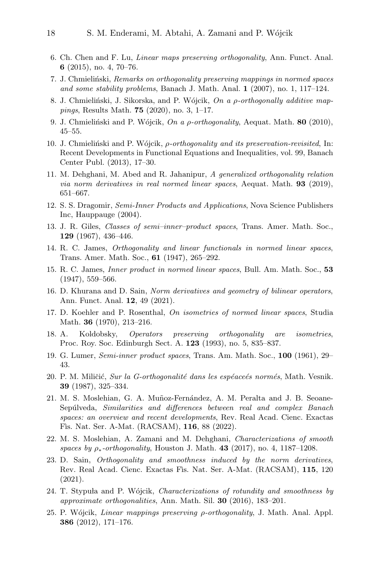- <span id="page-17-8"></span>6. Ch. Chen and F. Lu, Linear maps preserving orthogonality, Ann. Funct. Anal. 6 (2015), no. 4, 70–76.
- <span id="page-17-15"></span>7. J. Chmieliński, Remarks on orthogonality preserving mappings in normed spaces and some stability problems, Banach J. Math. Anal. 1 (2007), no. 1, 117–124.
- <span id="page-17-9"></span>8. J. Chmieliński, J. Sikorska, and P. Wójcik,  $On\ a\ p\-orthogonally\ additive\ map$ pings, Results Math. 75 (2020), no. 3, 1–17.
- <span id="page-17-10"></span><span id="page-17-4"></span>9. J. Chmieliński and P. Wójcik, On a  $\rho$ -orthogonality, Aequat. Math. 80 (2010), 45–55.
- 10. J. Chmieliński and P. Wójcik, ρ-orthogonality and its preservation-revisited, In: Recent Developments in Functional Equations and Inequalities, vol. 99, Banach Center Publ. (2013), 17–30.
- <span id="page-17-5"></span>11. M. Dehghani, M. Abed and R. Jahanipur, A generalized orthogonality relation *via norm derivatives in real normed linear spaces, Aequat. Math.* **93** (2019), 651–667.
- <span id="page-17-3"></span>12. S. S. Dragomir, Semi-Inner Products and Applications, Nova Science Publishers Inc, Hauppauge (2004).
- <span id="page-17-2"></span>13. J. R. Giles, Classes of semi–inner–product spaces, Trans. Amer. Math. Soc., 129 (1967), 436–446.
- <span id="page-17-12"></span>14. R. C. James, Orthogonality and linear functionals in normed linear spaces, Trans. Amer. Math. Soc., 61 (1947), 265–292.
- <span id="page-17-13"></span>15. R. C. James, Inner product in normed linear spaces, Bull. Am. Math. Soc., 53 (1947), 559–566.
- <span id="page-17-6"></span>16. D. Khurana and D. Sain, Norm derivatives and geometry of bilinear operators, Ann. Funct. Anal. 12, 49 (2021).
- <span id="page-17-16"></span>17. D. Koehler and P. Rosenthal, On isometries of normed linear spaces, Studia Math. 36 (1970), 213–216.
- <span id="page-17-17"></span>18. A. Koldobsky, Operators preserving orthogonality are isometries, Proc. Roy. Soc. Edinburgh Sect. A. 123 (1993), no. 5, 835–837.
- <span id="page-17-1"></span>19. G. Lumer, Semi-inner product spaces, Trans. Am. Math. Soc., 100 (1961), 29– 43.
- <span id="page-17-7"></span>20. P. M. Miličić, Sur la G-orthogonalité dans les espéaceés normés, Math. Vesnik. 39 (1987), 325–334.
- <span id="page-17-14"></span>21. M. S. Moslehian, G. A. Muñoz-Fernández, A. M. Peralta and J. B. Seoane-Sepúlveda, Similarities and differences between real and complex Banach spaces: an overview and recent developments, Rev. Real Acad. Cienc. Exactas Fis. Nat. Ser. A-Mat. (RACSAM), 116, 88 (2022).
- <span id="page-17-11"></span>22. M. S. Moslehian, A. Zamani and M. Dehghani, Characterizations of smooth spaces by  $\rho_*$ -orthogonality, Houston J. Math. 43 (2017), no. 4, 1187–1208.
- 23. D. Sain, Orthogonality and smoothness induced by the norm derivatives, Rev. Real Acad. Cienc. Exactas Fis. Nat. Ser. A-Mat. (RACSAM), 115, 120 (2021).
- <span id="page-17-0"></span>24. T. Stypula and P. Wójcik, *Characterizations of rotundity and smoothness by* approximate orthogonalities, Ann. Math. Sil. 30 (2016), 183–201.
- <span id="page-17-18"></span>25. P. W´ojcik, Linear mappings preserving ρ-orthogonality, J. Math. Anal. Appl. 386 (2012), 171–176.